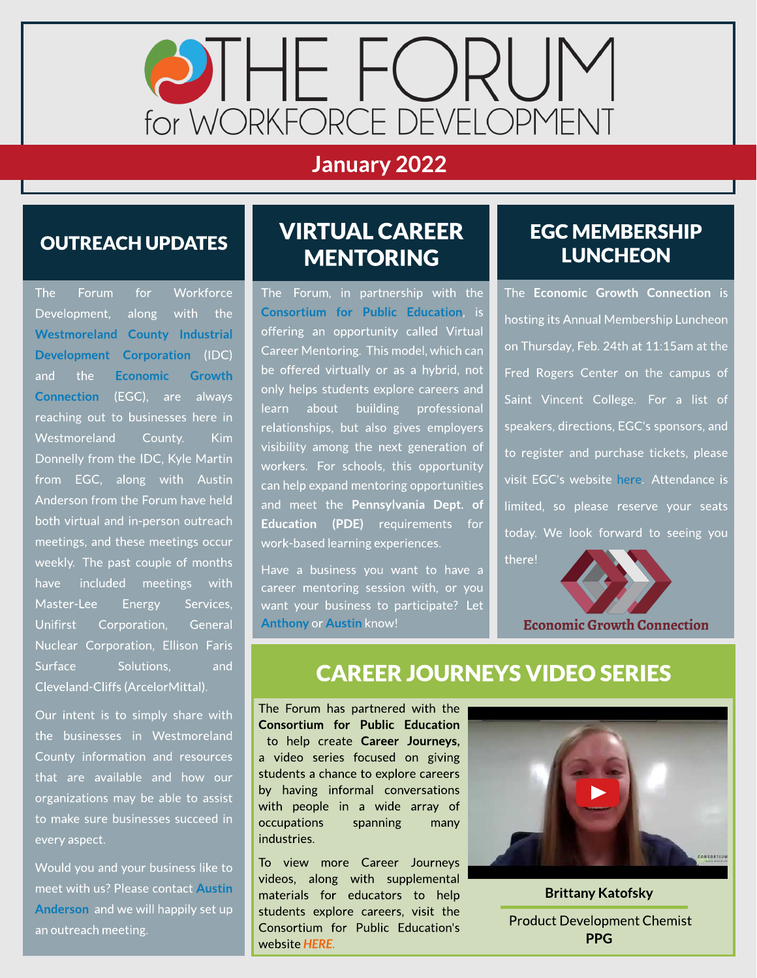

### January 2022

#### OUTREACH UPDATES

The Forum for Workforce Development, along with the [Westmoreland](https://www.co.westmoreland.pa.us/669/WCIDC) [County](https://www.co.westmoreland.pa.us/669/WCIDC) [Industrial](https://www.co.westmoreland.pa.us/669/WCIDC) [Development](https://www.co.westmoreland.pa.us/669/WCIDC) [Corporation](https://www.co.westmoreland.pa.us/669/WCIDC) (IDC) and the [Economic](https://egcw.org/) [Growth](https://egcw.org/) [Connection](https://egcw.org/) (EGC), are always reaching out to businesses here in Westmoreland County. Kim Donnelly from the IDC, Kyle Martin from EGC, along with Austin Anderson from the Forum have held both virtual and in-person outreach meetings, and these meetings occur weekly. The past couple of months have included meetings with Master-Lee Energy Services, Unifirst Corporation, General Nuclear Corporation, Ellison Faris Surface Solutions, and Cleveland-Cliffs(ArcelorMittal).

Our intent is to simply share with the businesses in Westmoreland County information and resources that are available and how our organizations may be able to assist to make sure businesses succeed in every aspect.

Would you and your business like to meet with us? Please contact [Austin](mailto:aanderson@egcw.org) [Anderson](mailto:aanderson@egcw.org) and we will happily set up an outreach meeting.

## VIRTUAL CAREER **MENTORING**

The Forum, in partnership with the [Consortium](https://www.theconsortiumforpubliceducation.org/) [for](https://www.theconsortiumforpubliceducation.org/) [Public](https://www.theconsortiumforpubliceducation.org/) [Education](https://www.theconsortiumforpubliceducation.org/), is offering an opportunity called Virtual Career Mentoring. This model, which can be offered virtually or as a hybrid, not only helps students explore careers and learn about building professional relationships, but also gives employers visibility among the next generation of workers. For schools, this opportunity can help expand mentoring opportunities and meet the Pennsylvania Dept. of Education (PDE) requirements for work-based learning experiences.

Have a business you want to have a career mentoring session with, or you want your business to participate? Let [Anthony](mailto:aprinceton@egcw.org) or [Austin](mailto:aanderson@egcw.org) know!

#### **EGC MEMBERSHIP LUNCHEON**

The Economic Growth Connection is hosting its Annual Membership Luncheon on Thursday, Feb.24th at 11:15am at the Fred Rogers Center on the campus of Saint Vincent College. For a list of speakers, directions, EGC's sponsors, and to register and purchase tickets, please visit EGC's website [here](https://egcw.org/product/luncheon/). Attendance is limited, so please reserve your seats today. We look forward to seeing you the[re!](https://egcw.org/product/luncheon/)



#### **CAREER JOURNEYS VIDEO SERIES**

The Forum has partnered with the Consortium for Public Education to help create Career Journeys, a video series focused on giving students a chance to explore careers by having informal conversations with people in a wide array of occupations spanning many industries.

To view more Career Journeys videos, along with supplemental materials for educators to help students explore careers, visit the Consortium for Public Education's website **[HERE.](https://www.theconsortiumforpubliceducation.org/career-journeys/)**



Brittany Katofsky .

Product Development Chemist PPG